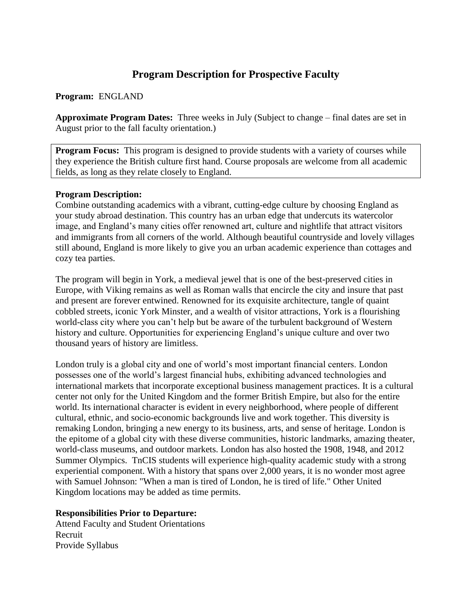# **Program Description for Prospective Faculty**

**Program:** ENGLAND

**Approximate Program Dates:** Three weeks in July (Subject to change – final dates are set in August prior to the fall faculty orientation.)

**Program Focus:** This program is designed to provide students with a variety of courses while they experience the British culture first hand. Course proposals are welcome from all academic fields, as long as they relate closely to England.

#### **Program Description:**

Combine outstanding academics with a vibrant, cutting-edge culture by choosing England as your study abroad destination. This country has an urban edge that undercuts its watercolor image, and England's many cities offer renowned art, culture and nightlife that attract visitors and immigrants from all corners of the world. Although beautiful countryside and lovely villages still abound, England is more likely to give you an urban academic experience than cottages and cozy tea parties.

The program will begin in York, a medieval jewel that is one of the best-preserved cities in Europe, with Viking remains as well as Roman walls that encircle the city and insure that past and present are forever entwined. Renowned for its exquisite architecture, tangle of quaint cobbled streets, iconic York Minster, and a wealth of visitor attractions, York is a flourishing world-class city where you can't help but be aware of the turbulent background of Western history and culture. Opportunities for experiencing England's unique culture and over two thousand years of history are limitless.

London truly is a global city and one of world's most important financial centers. London possesses one of the world's largest financial hubs, exhibiting advanced technologies and international markets that incorporate exceptional business management practices. It is a cultural center not only for the United Kingdom and the former British Empire, but also for the entire world. Its international character is evident in every neighborhood, where people of different cultural, ethnic, and socio-economic backgrounds live and work together. This diversity is remaking London, bringing a new energy to its business, arts, and sense of heritage. London is the epitome of a global city with these diverse communities, historic landmarks, amazing theater, world-class museums, and outdoor markets. London has also hosted the 1908, 1948, and 2012 Summer Olympics. TnCIS students will experience high-quality academic study with a strong experiential component. With a history that spans over 2,000 years, it is no wonder most agree with Samuel Johnson: "When a man is tired of London, he is tired of life." Other United Kingdom locations may be added as time permits.

#### **Responsibilities Prior to Departure:**

Attend Faculty and Student Orientations Recruit Provide Syllabus